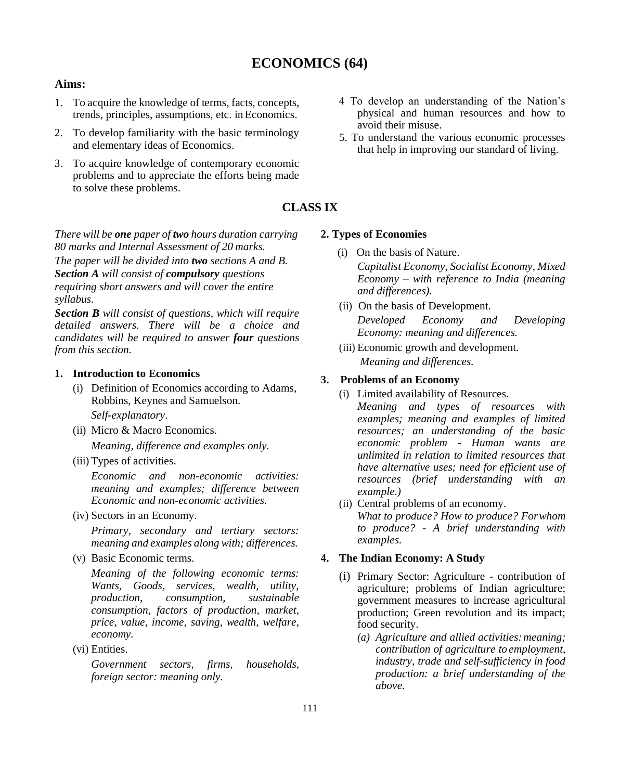# **ECONOMICS (64)**

# **Aims:**

- 1. To acquire the knowledge of terms, facts, concepts, trends, principles, assumptions, etc. inEconomics.
- 2. To develop familiarity with the basic terminology and elementary ideas of Economics.
- 3. To acquire knowledge of contemporary economic problems and to appreciate the efforts being made to solve these problems.

# **CLASS IX**

*There will be one paper of two hours duration carrying 80 marks and Internal Assessment of 20 marks. The paper will be divided into two sections A and B. Section A will consist of compulsory questions requiring short answers and will cover the entire syllabus.*

*Section B will consist of questions, which will require detailed answers. There will be a choice and candidates will be required to answer four questions from this section.*

## **1. Introduction to Economics**

- (i) Definition of Economics according to Adams, Robbins, Keynes and Samuelson. *Self-explanatory*.
- (ii) Micro & Macro Economics.

*Meaning, difference and examples only.*

(iii) Types of activities.

*Economic and non-economic activities: meaning and examples; difference between Economic and non-economic activities.*

(iv) Sectors in an Economy.

*Primary, secondary and tertiary sectors: meaning and examples along with; differences.*

(v) Basic Economic terms.

*Meaning of the following economic terms: Wants, Goods, services, wealth, utility, production, consumption, sustainable consumption, factors of production, market, price, value, income, saving, wealth, welfare, economy.*

(vi) Entities.

*Government sectors, firms, households, foreign sector: meaning only.*

- 4 To develop an understanding of the Nation's physical and human resources and how to avoid their misuse.
- 5. To understand the various economic processes that help in improving our standard of living.
- 

#### **2. Types of Economies**

- (i) On the basis of Nature. *Capitalist Economy, Socialist Economy, Mixed Economy – with reference to India (meaning and differences).*
- (ii) On the basis of Development. *Developed Economy and Developing Economy: meaning and differences.*
- (iii) Economic growth and development. *Meaning and differences.*

### **3. Problems of an Economy**

- (i) Limited availability of Resources. *Meaning and types of resources with examples; meaning and examples of limited resources; an understanding of the basic economic problem - Human wants are unlimited in relation to limited resources that have alternative uses; need for efficient use of resources (brief understanding with an example.)*
- (ii) Central problems of an economy. *What to produce? How to produce? Forwhom to produce? - A brief understanding with examples.*

### **4. The Indian Economy: A Study**

- (i) Primary Sector: Agriculture contribution of agriculture; problems of Indian agriculture; government measures to increase agricultural production; Green revolution and its impact; food security.
	- *(a) Agriculture and allied activities:meaning; contribution of agriculture to employment, industry, trade and self-sufficiency in food production: a brief understanding of the above.*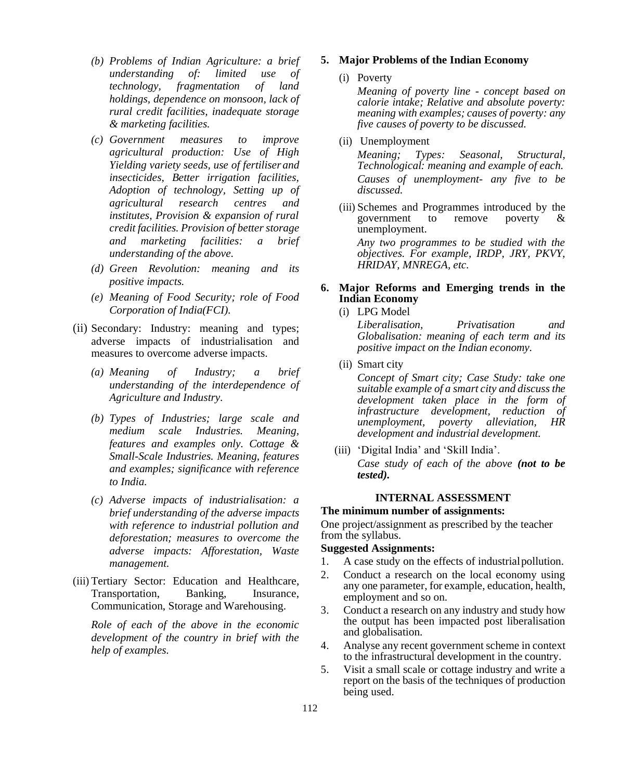- *(b) Problems of Indian Agriculture: a brief understanding of: limited use of technology, fragmentation of land holdings, dependence on monsoon, lack of rural credit facilities, inadequate storage & marketing facilities.*
- *(c) Government measures to improve agricultural production: Use of High Yielding variety seeds, use of fertiliser and insecticides, Better irrigation facilities, Adoption of technology, Setting up of agricultural research centres and institutes, Provision & expansion of rural credit facilities. Provision of better storage and marketing facilities: a brief understanding of the above.*
- *(d) Green Revolution: meaning and its positive impacts.*
- *(e) Meaning of Food Security; role of Food Corporation of India(FCI).*
- (ii) Secondary: Industry: meaning and types; adverse impacts of industrialisation and measures to overcome adverse impacts.
	- *(a) Meaning of Industry; a brief understanding of the interdependence of Agriculture and Industry.*
	- *(b) Types of Industries; large scale and medium scale Industries. Meaning, features and examples only. Cottage & Small-Scale Industries. Meaning, features and examples; significance with reference to India.*
	- *(c) Adverse impacts of industrialisation: a brief understanding of the adverse impacts with reference to industrial pollution and deforestation; measures to overcome the adverse impacts: Afforestation, Waste management.*
- (iii) Tertiary Sector: Education and Healthcare, Transportation, Banking, Insurance, Communication, Storage and Warehousing.

*Role of each of the above in the economic development of the country in brief with the help of examples.*

### **5. Major Problems of the Indian Economy**

#### (i) Poverty

*Meaning of poverty line - concept based on calorie intake; Relative and absolute poverty: meaning with examples; causes of poverty: any five causes of poverty to be discussed.*

(ii) Unemployment

*Meaning; Types: Seasonal, Structural, Technological: meaning and example of each. Causes of unemployment- any five to be discussed.*

- (iii) Schemes and Programmes introduced by the government to remove poverty & unemployment. *Any two programmes to be studied with the objectives. For example, IRDP, JRY, PKVY, HRIDAY, MNREGA, etc.*
- **6. Major Reforms and Emerging trends in the Indian Economy**
	- (i) LPG Model

*Liberalisation, Privatisation and Globalisation: meaning of each term and its positive impact on the Indian economy.*

(ii) Smart city

*Concept of Smart city; Case Study: take one suitable example of a smart city and discuss the development taken place in the form of infrastructure development, reduction of unemployment, poverty alleviation, HR development and industrial development.*

(iii) 'Digital India' and 'Skill India'. *Case study of each of the above (not to be tested).*

#### **INTERNAL ASSESSMENT**

### **The minimum number of assignments:**

One project/assignment as prescribed by the teacher from the syllabus.

#### **Suggested Assignments:**

- 1. A case study on the effects of industrialpollution.
- 2. Conduct a research on the local economy using any one parameter, for example, education, health, employment and so on.
- 3. Conduct a research on any industry and study how the output has been impacted post liberalisation and globalisation.
- 4. Analyse any recent government scheme in context to the infrastructural development in the country.
- 5. Visit a small scale or cottage industry and write a report on the basis of the techniques of production being used.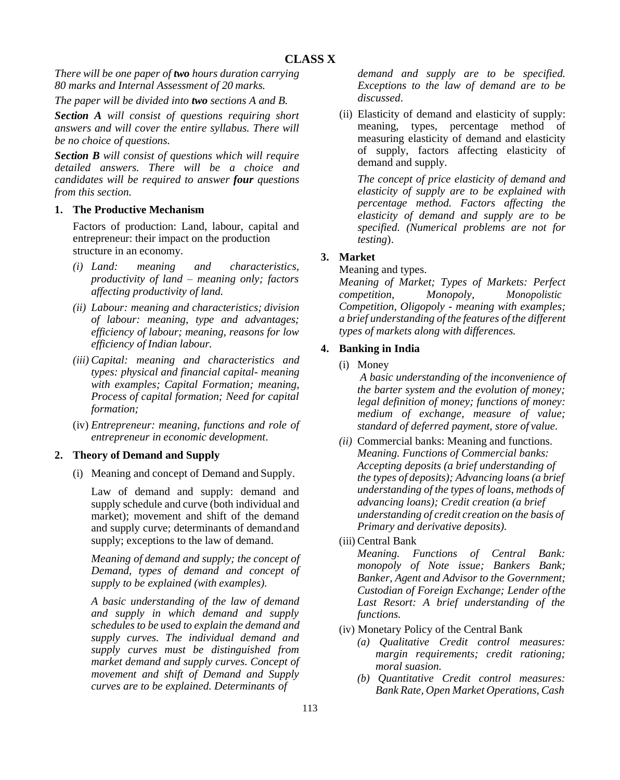*There will be one paper of two hours duration carrying 80 marks and Internal Assessment of 20 marks.*

*The paper will be divided into two sections A and B.*

*Section A will consist of questions requiring short answers and will cover the entire syllabus. There will be no choice of questions.*

*Section B will consist of questions which will require detailed answers. There will be a choice and candidates will be required to answer four questions from this section.*

# **1. The Productive Mechanism**

Factors of production: Land, labour, capital and entrepreneur: their impact on the production structure in an economy.

- *(i) Land: meaning and characteristics, productivity of land – meaning only; factors affecting productivity of land.*
- *(ii) Labour: meaning and characteristics; division of labour: meaning, type and advantages; efficiency of labour; meaning, reasons for low efficiency of Indian labour.*
- *(iii) Capital: meaning and characteristics and types: physical and financial capital- meaning with examples; Capital Formation; meaning, Process of capital formation; Need for capital formation;*
- (iv) *Entrepreneur: meaning, functions and role of entrepreneur in economic development*.

# **2. Theory of Demand and Supply**

(i) Meaning and concept of Demand and Supply.

Law of demand and supply: demand and supply schedule and curve (both individual and market); movement and shift of the demand and supply curve; determinants of demandand supply; exceptions to the law of demand.

*Meaning of demand and supply; the concept of Demand, types of demand and concept of supply to be explained (with examples).*

*A basic understanding of the law of demand and supply in which demand and supply schedules to be used to explain the demand and supply curves. The individual demand and supply curves must be distinguished from market demand and supply curves. Concept of movement and shift of Demand and Supply curves are to be explained. Determinants of*

*demand and supply are to be specified. Exceptions to the law of demand are to be discussed*.

(ii) Elasticity of demand and elasticity of supply: meaning, types, percentage method of measuring elasticity of demand and elasticity of supply, factors affecting elasticity of demand and supply.

*The concept of price elasticity of demand and elasticity of supply are to be explained with percentage method. Factors affecting the elasticity of demand and supply are to be specified. (Numerical problems are not for testing*).

# **3. Market**

## Meaning and types.

*Meaning of Market; Types of Markets: Perfect competition, Monopoly, Monopolistic Competition, Oligopoly - meaning with examples; a brief understanding of the features of the different types of markets along with differences.*

# **4. Banking in India**

(i) Money

*A basic understanding of the inconvenience of the barter system and the evolution of money; legal definition of money; functions of money: medium of exchange, measure of value; standard of deferred payment, store of value.*

- *(ii)* Commercial banks: Meaning and functions. *Meaning. Functions of Commercial banks: Accepting deposits (a brief understanding of the types of deposits); Advancing loans (a brief understanding of the types of loans, methods of advancing loans); Credit creation (a brief understanding of credit creation on the basis of Primary and derivative deposits).*
- (iii) Central Bank

*Meaning. Functions of Central Bank: monopoly of Note issue; Bankers Bank; Banker, Agent and Advisor to the Government; Custodian of Foreign Exchange; Lender ofthe Last Resort: A brief understanding of the functions.*

- (iv) Monetary Policy of the Central Bank
	- *(a) Qualitative Credit control measures: margin requirements; credit rationing; moral suasion.*
	- *(b) Quantitative Credit control measures: Bank Rate, Open Market Operations, Cash*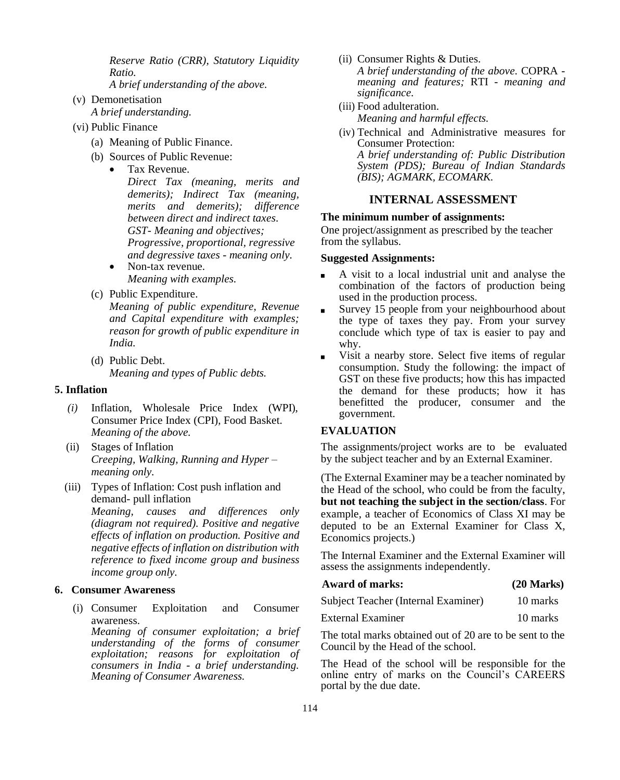*Reserve Ratio (CRR), Statutory Liquidity Ratio.*

- *A brief understanding of the above.*
- (v) Demonetisation *A brief understanding.*
- (vi) Public Finance
	- (a) Meaning of Public Finance.
	- (b) Sources of Public Revenue:
		- Tax Revenue.

*Direct Tax (meaning, merits and demerits); Indirect Tax (meaning, merits and demerits); difference between direct and indirect taxes*. *GST- Meaning and objectives; Progressive, proportional, regressive and degressive taxes - meaning only.*

- Non-tax revenue. *Meaning with examples.*
- (c) Public Expenditure.

*Meaning of public expenditure, Revenue and Capital expenditure with examples; reason for growth of public expenditure in India.*

(d) Public Debt. *Meaning and types of Public debts.*

### **5. Inflation**

- *(i)* Inflation, Wholesale Price Index (WPI), Consumer Price Index (CPI), Food Basket. *Meaning of the above.*
- (ii) Stages of Inflation *Creeping, Walking, Running and Hyper – meaning only.*
- (iii) Types of Inflation: Cost push inflation and demand- pull inflation *Meaning, causes and differences only*

*(diagram not required). Positive and negative effects of inflation on production. Positive and negative effects of inflation on distribution with reference to fixed income group and business income group only.*

### **6. Consumer Awareness**

(i) Consumer Exploitation and Consumer awareness.

*Meaning of consumer exploitation; a brief understanding of the forms of consumer exploitation; reasons for exploitation of consumers in India - a brief understanding. Meaning of Consumer Awareness.*

(ii) Consumer Rights & Duties.

*A brief understanding of the above.* COPRA *meaning and features;* RTI - *meaning and significance.*

- (iii) Food adulteration. *Meaning and harmful effects.*
- (iv) Technical and Administrative measures for Consumer Protection: *A brief understanding of: Public Distribution System (PDS); Bureau of Indian Standards (BIS); AGMARK, ECOMARK.*

## **INTERNAL ASSESSMENT**

### **The minimum number of assignments:**

One project/assignment as prescribed by the teacher from the syllabus.

#### **Suggested Assignments:**

- A visit to a local industrial unit and analyse the combination of the factors of production being used in the production process.
- Survey 15 people from your neighbourhood about the type of taxes they pay. From your survey conclude which type of tax is easier to pay and why.
- Visit a nearby store. Select five items of regular consumption. Study the following: the impact of GST on these five products; how this has impacted the demand for these products; how it has benefitted the producer, consumer and the government.

### **EVALUATION**

The assignments/project works are to be evaluated by the subject teacher and by an External Examiner.

(The External Examiner may be a teacher nominated by the Head of the school, who could be from the faculty, **but not teaching the subject in the section/class**. For example, a teacher of Economics of Class XI may be deputed to be an External Examiner for Class X, Economics projects.)

The Internal Examiner and the External Examiner will assess the assignments independently.

| <b>Award of marks:</b>              | $(20$ Marks) |  |  |
|-------------------------------------|--------------|--|--|
| Subject Teacher (Internal Examiner) | 10 marks     |  |  |
| External Examiner                   | 10 marks     |  |  |

The total marks obtained out of 20 are to be sent to the Council by the Head of the school.

The Head of the school will be responsible for the online entry of marks on the Council's CAREERS portal by the due date.